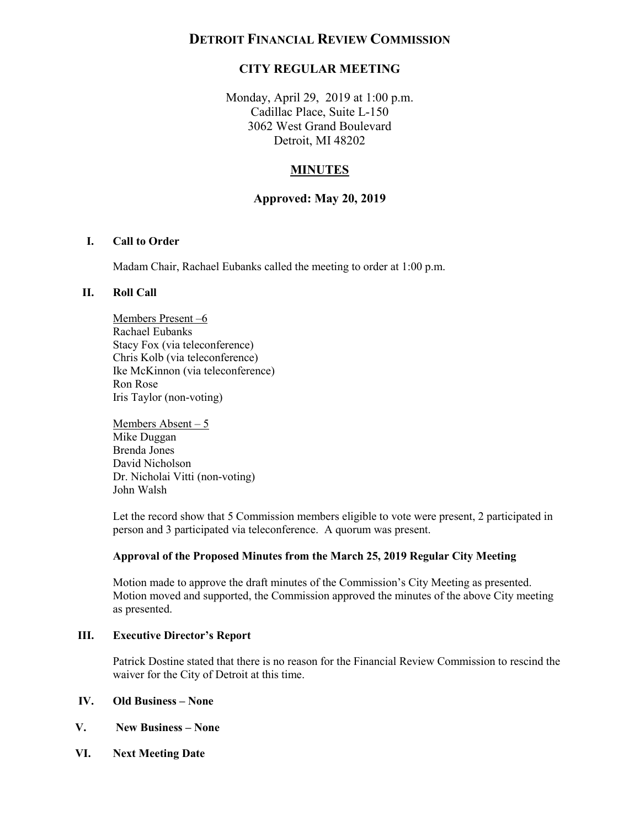# **DETROIT FINANCIAL REVIEW COMMISSION**

## **CITY REGULAR MEETING**

 Monday, April 29, 2019 at 1:00 p.m. Cadillac Place, Suite L-150 3062 West Grand Boulevard Detroit, MI 48202

## **MINUTES**

### **Approved: May 20, 2019**

#### **I. Call to Order**

Madam Chair, Rachael Eubanks called the meeting to order at 1:00 p.m.

#### **II. Roll Call**

Members Present –6 Rachael Eubanks Stacy Fox (via teleconference) Chris Kolb (via teleconference) Ike McKinnon (via teleconference) Ron Rose Iris Taylor (non-voting)

 Members Absent – 5 Mike Duggan Brenda Jones David Nicholson Dr. Nicholai Vitti (non-voting) John Walsh

 Let the record show that 5 Commission members eligible to vote were present, 2 participated in person and 3 participated via teleconference. A quorum was present.

#### **Approval of the Proposed Minutes from the March 25, 2019 Regular City Meeting**

 Motion moved and supported, the Commission approved the minutes of the above City meeting Motion made to approve the draft minutes of the Commission's City Meeting as presented. as presented.

#### **III. Executive Director's Report**

 Patrick Dostine stated that there is no reason for the Financial Review Commission to rescind the waiver for the City of Detroit at this time.

#### **IV. Old Business – None**

- **V. New Business None**
- **VI. Next Meeting Date**